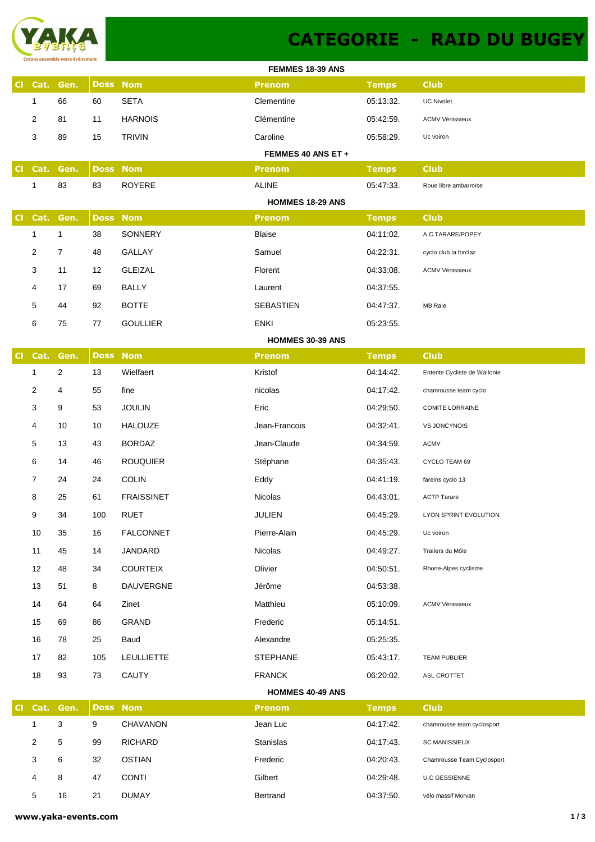

## **CATEGORIE - RAID DU BUGEY**

|           |                |                |                 |                   | FEMMES 18-39 ANS        |              |                              |
|-----------|----------------|----------------|-----------------|-------------------|-------------------------|--------------|------------------------------|
|           |                | Cl Cat. Gen.   | <b>Doss Nom</b> |                   | <b>Prenom</b>           | <b>Temps</b> | <b>Club</b>                  |
|           | $\mathbf{1}$   | 66             | 60              | <b>SETA</b>       | Clementine              | 05:13:32.    | <b>UC Nivolet</b>            |
|           | $\overline{2}$ | 81             | 11              | <b>HARNOIS</b>    | Clémentine              | 05:42:59.    | <b>ACMV Vénissieux</b>       |
|           | 3              | 89             | 15              | <b>TRIVIN</b>     | Caroline                | 05:58:29.    | Uc voiron                    |
|           |                |                |                 |                   | FEMMES 40 ANS ET +      |              |                              |
| CI.       |                | Cat. Gen.      | <b>Doss Nom</b> |                   | <b>Prenom</b>           | <b>Temps</b> | <b>Club</b>                  |
|           | 1              | 83             | 83              | <b>ROYERE</b>     | <b>ALINE</b>            | 05:47:33.    | Roue libre ambarroise        |
|           |                |                |                 |                   | <b>HOMMES 18-29 ANS</b> |              |                              |
| CI.       |                | Cat. Gen.      | <b>Doss Nom</b> |                   | <b>Prenom</b>           | <b>Temps</b> | <b>Club</b>                  |
|           | $\mathbf{1}$   | $\mathbf{1}$   | 38              | SONNERY           | Blaise                  | 04:11:02.    | A.C.TARARE/POPEY             |
|           | $\overline{2}$ | $\overline{7}$ | 48              | GALLAY            | Samuel                  | 04:22:31.    | cyclo club la forclaz        |
|           | 3              | 11             | 12              | <b>GLEIZAL</b>    | Florent                 | 04:33:08.    | <b>ACMV Vénissieux</b>       |
|           | 4              | 17             | 69              | <b>BALLY</b>      | Laurent                 | 04:37:55.    |                              |
|           | 5              | 44             | 92              | <b>BOTTE</b>      | <b>SEBASTIEN</b>        | 04:47:37.    | MB Rale                      |
|           | 6              | 75             | 77              | <b>GOULLIER</b>   | <b>ENKI</b>             | 05:23:55.    |                              |
|           |                |                |                 |                   | <b>HOMMES 30-39 ANS</b> |              |                              |
| <b>CI</b> | Cat.           | Gen.           | <b>Doss Nom</b> |                   | <b>Prenom</b>           | <b>Temps</b> | <b>Club</b>                  |
|           | 1              | $\overline{2}$ | 13              | Wielfaert         | Kristof                 | 04:14:42.    | Entente Cycliste de Wallonie |
|           | $\overline{2}$ | 4              | 55              | fine              | nicolas                 | 04:17:42.    | chamrousse team cyclo        |
|           | 3              | 9              | 53              | <b>JOULIN</b>     | Eric                    | 04:29:50.    | <b>COMITE LORRAINE</b>       |
|           | 4              | 10             | 10              | <b>HALOUZE</b>    | Jean-Francois           | 04:32:41.    | VS JONCYNOIS                 |
|           | 5              | 13             | 43              | <b>BORDAZ</b>     | Jean-Claude             | 04:34:59.    | <b>ACMV</b>                  |
|           | 6              | 14             | 46              | <b>ROUQUIER</b>   | Stéphane                | 04:35:43.    | CYCLO TEAM 69                |
|           | 7              | 24             | 24              | <b>COLIN</b>      | Eddy                    | 04:41:19.    | fareins cyclo 13             |
|           | 8              | 25             | 61              | <b>FRAISSINET</b> | Nicolas                 | 04:43:01.    | <b>ACTP Tarare</b>           |
|           | 9              | 34             | 100             | <b>RUET</b>       | JULIEN                  | 04:45:29.    | LYON SPRINT EVOLUTION        |
|           | 10             | 35             | 16              | FALCONNET         | Pierre-Alain            | 04:45:29.    | Uc voiron                    |
|           | 11             | 45             | 14              | JANDARD           | Nicolas                 | 04:49:27.    | Trailers du Môle             |
|           | 12             | 48             | 34              | <b>COURTEIX</b>   | Olivier                 | 04:50:51.    | Rhone-Alpes cyclisme         |
|           | 13             | 51             | 8               | <b>DAUVERGNE</b>  | Jérôme                  | 04:53:38.    |                              |
|           | 14             | 64             | 64              | Zinet             | Matthieu                | 05:10:09.    | <b>ACMV Vénissieux</b>       |
|           | 15             | 69             | 86              | GRAND             | Frederic                | 05:14:51.    |                              |
|           | 16             | 78             | 25              | Baud              | Alexandre               | 05:25:35.    |                              |
|           | 17             | 82             | 105             | <b>LEULLIETTE</b> | <b>STEPHANE</b>         | 05:43:17.    | <b>TEAM PUBLIER</b>          |
|           | 18             | 93             | 73              | <b>CAUTY</b>      | <b>FRANCK</b>           | 06:20:02.    | ASL CROTTET                  |
|           |                |                |                 |                   | <b>HOMMES 40-49 ANS</b> |              |                              |
|           |                | Cl Cat. Gen.   | <b>Doss Nom</b> |                   | <b>Prenom</b>           | <b>Temps</b> | <b>Club</b>                  |
|           | $\mathbf{1}$   | 3              | 9               | <b>CHAVANON</b>   | Jean Luc                | 04:17:42.    | chamrousse team cyclosport   |
|           | $\overline{2}$ | 5              | 99              | <b>RICHARD</b>    | Stanislas               | 04:17:43.    | <b>SC MANISSIEUX</b>         |
|           | 3              | 6              | 32              | <b>OSTIAN</b>     | Frederic                | 04:20:43.    | Chamrousse Team Cyclosport   |
|           | 4              | 8              | 47              | <b>CONTI</b>      | Gilbert                 | 04:29:48.    | <b>U.C GESSIENNE</b>         |
|           | 5              | 16             | 21              | <b>DUMAY</b>      | Bertrand                | 04:37:50.    | vélo massif Morvan           |
|           |                |                |                 |                   |                         |              |                              |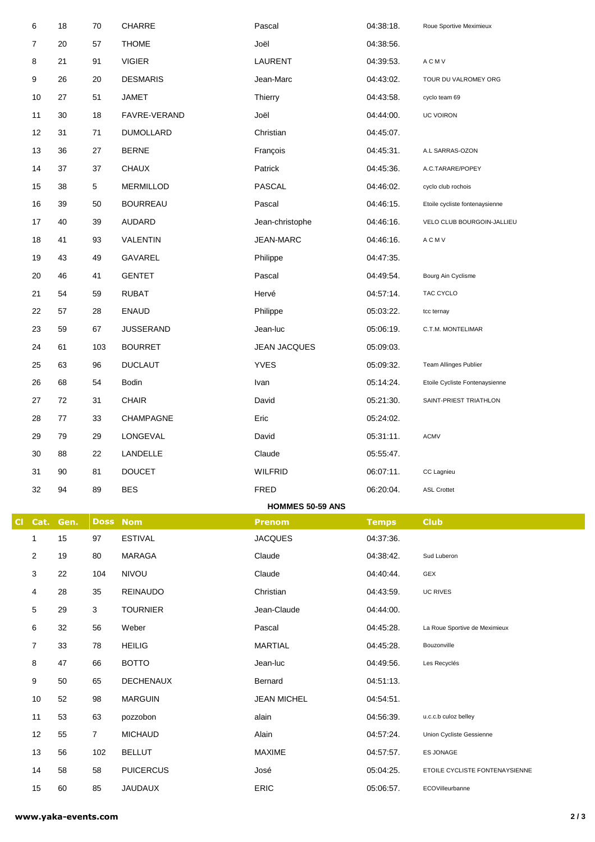| 6            | 18       | 70             | CHARRE                      | Pascal              | 04:38:18.              | Roue Sportive Meximieux                           |
|--------------|----------|----------------|-----------------------------|---------------------|------------------------|---------------------------------------------------|
| 7            | 20       | 57             | <b>THOME</b>                | Joël                | 04:38:56.              |                                                   |
| 8            | 21       | 91             | <b>VIGIER</b>               | LAURENT             | 04:39:53.              | A C M V                                           |
| 9            | 26       | 20             | <b>DESMARIS</b>             | Jean-Marc           | 04:43:02.              | TOUR DU VALROMEY ORG                              |
| 10           | 27       | 51             | JAMET                       | Thierry             | 04:43:58.              | cyclo team 69                                     |
| 11           | 30       | 18             | FAVRE-VERAND                | Joël                | 04:44:00.              | <b>UC VOIRON</b>                                  |
| 12           | 31       | 71             | <b>DUMOLLARD</b>            | Christian           | 04:45:07.              |                                                   |
| 13           | 36       | 27             | <b>BERNE</b>                | François            | 04:45:31.              | A.L SARRAS-OZON                                   |
| 14           | 37       | 37             | <b>CHAUX</b>                | Patrick             | 04:45:36.              | A.C.TARARE/POPEY                                  |
| 15           | 38       | 5              | <b>MERMILLOD</b>            | PASCAL              | 04:46:02.              | cyclo club rochois                                |
| 16           | 39       | 50             | <b>BOURREAU</b>             | Pascal              | 04:46:15.              | Etoile cycliste fontenaysienne                    |
| 17           | 40       | 39             | <b>AUDARD</b>               | Jean-christophe     | 04:46:16.              | VELO CLUB BOURGOIN-JALLIEU                        |
| 18           | 41       | 93             | VALENTIN                    | JEAN-MARC           | 04:46:16.              | A C M V                                           |
| 19           | 43       | 49             | GAVAREL                     | Philippe            | 04:47:35.              |                                                   |
| 20           | 46       | 41             | <b>GENTET</b>               | Pascal              | 04:49:54.              | Bourg Ain Cyclisme                                |
| 21           | 54       | 59             | <b>RUBAT</b>                | Hervé               | 04:57:14.              | TAC CYCLO                                         |
| 22           | 57       | 28             | <b>ENAUD</b>                | Philippe            | 05:03:22.              | tcc ternay                                        |
| 23           | 59       | 67             | <b>JUSSERAND</b>            | Jean-luc            | 05:06:19.              | C.T.M. MONTELIMAR                                 |
| 24           | 61       | 103            | <b>BOURRET</b>              | JEAN JACQUES        | 05:09:03.              |                                                   |
| 25           | 63       | 96             | <b>DUCLAUT</b>              | <b>YVES</b>         | 05:09:32.              | Team Allinges Publier                             |
| 26           | 68       | 54             | Bodin                       | Ivan                | 05:14:24.              | Etoile Cycliste Fontenaysienne                    |
| 27           | 72       | 31             | <b>CHAIR</b>                | David               | 05:21:30.              | SAINT-PRIEST TRIATHLON                            |
| 28           | 77       | 33             | CHAMPAGNE                   | Eric                | 05:24:02.              |                                                   |
| 29           | 79       | 29             | LONGEVAL                    | David               | 05:31:11.              | <b>ACMV</b>                                       |
| 30           | 88       | 22             | LANDELLE                    | Claude              | 05:55:47.              |                                                   |
| 31           | 90       | 81             | <b>DOUCET</b>               | <b>WILFRID</b>      | 06:07:11.              | CC Lagnieu                                        |
| 32           | 94       | 89             | <b>BES</b>                  | FRED                | 06:20:04.              | <b>ASL Crottet</b>                                |
|              |          |                |                             | HOMMES 50-59 ANS    |                        |                                                   |
| Cat.<br>CI   | Gen.     |                | <b>Doss Nom</b>             | <b>Prenom</b>       | <b>Temps</b>           | <b>Club</b>                                       |
| $\mathbf{1}$ | 15       | 97             | <b>ESTIVAL</b>              | <b>JACQUES</b>      | 04:37:36.              |                                                   |
| 2            | 19       | 80             | MARAGA                      | Claude              | 04:38:42.              | Sud Luberon                                       |
| 3            | 22       | 104            | NIVOU                       | Claude              | 04:40:44.              | GEX                                               |
| 4            | 28       | 35             | <b>REINAUDO</b>             | Christian           | 04:43:59.              | <b>UC RIVES</b>                                   |
| 5            | 29       | 3              | <b>TOURNIER</b>             | Jean-Claude         | 04:44:00.              |                                                   |
| 6            | 32       | 56             | Weber                       | Pascal              | 04:45:28.              | La Roue Sportive de Meximieux                     |
| 7            | 33       | 78             | <b>HEILIG</b>               | <b>MARTIAL</b>      | 04:45:28.              | Bouzonville                                       |
| 8            | 47       | 66             | <b>BOTTO</b>                | Jean-luc            | 04:49:56.              | Les Recyclés                                      |
| 9            | 50       | 65             | <b>DECHENAUX</b>            | Bernard             | 04:51:13.              |                                                   |
| 10           | 52       | 98             | <b>MARGUIN</b>              | <b>JEAN MICHEL</b>  | 04:54:51.              |                                                   |
| 11           | 53       | 63             | pozzobon                    | alain               | 04:56:39.              | u.c.c.b culoz belley                              |
| 12           | 55       | 7 <sup>1</sup> | <b>MICHAUD</b>              | Alain               | 04:57:24.              | Union Cycliste Gessienne                          |
| 13           | 56       | 102            | <b>BELLUT</b>               | <b>MAXIME</b>       | 04:57:57.              | ES JONAGE                                         |
| 14           |          |                |                             |                     |                        |                                                   |
| 15           | 58<br>60 | 58<br>85       | <b>PUICERCUS</b><br>JAUDAUX | José<br><b>ERIC</b> | 05:04:25.<br>05:06:57. | ETOILE CYCLISTE FONTENAYSIENNE<br>ECOVilleurbanne |

 $\mathcal{L}_{\mathcal{A}}$